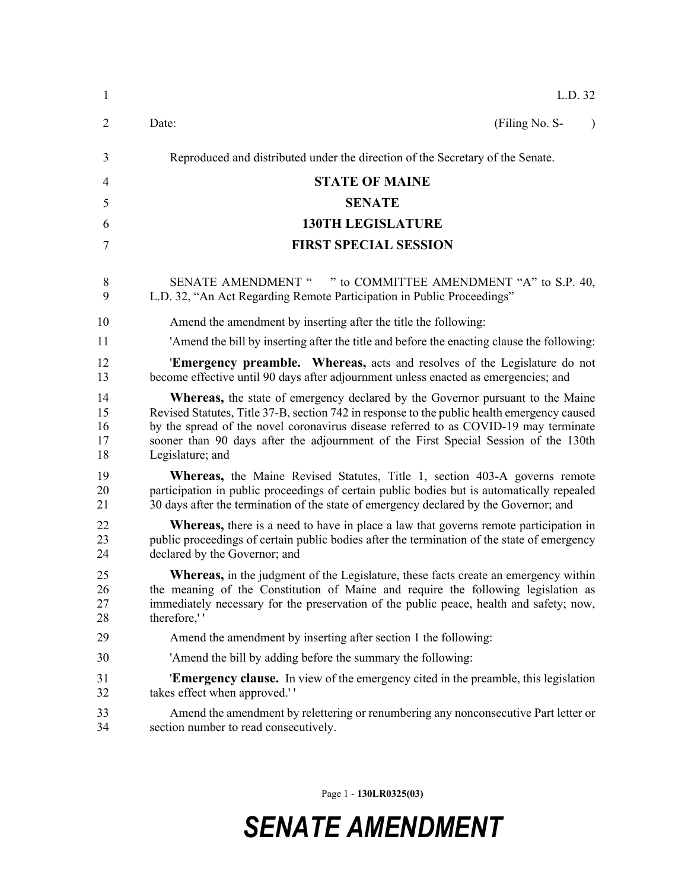| $\mathbf{1}$               | L.D. 32                                                                                                                                                                                                                                                                                                                                                                                  |
|----------------------------|------------------------------------------------------------------------------------------------------------------------------------------------------------------------------------------------------------------------------------------------------------------------------------------------------------------------------------------------------------------------------------------|
| $\overline{2}$             | (Filing No. S-<br>Date:<br>$\lambda$                                                                                                                                                                                                                                                                                                                                                     |
| 3                          | Reproduced and distributed under the direction of the Secretary of the Senate.                                                                                                                                                                                                                                                                                                           |
| 4                          | <b>STATE OF MAINE</b>                                                                                                                                                                                                                                                                                                                                                                    |
| 5                          | <b>SENATE</b>                                                                                                                                                                                                                                                                                                                                                                            |
| 6                          | <b>130TH LEGISLATURE</b>                                                                                                                                                                                                                                                                                                                                                                 |
| 7                          | <b>FIRST SPECIAL SESSION</b>                                                                                                                                                                                                                                                                                                                                                             |
| 8<br>9                     | " to COMMITTEE AMENDMENT "A" to S.P. 40,<br><b>SENATE AMENDMENT "</b><br>L.D. 32, "An Act Regarding Remote Participation in Public Proceedings"                                                                                                                                                                                                                                          |
| 10                         | Amend the amendment by inserting after the title the following:                                                                                                                                                                                                                                                                                                                          |
| 11                         | 'Amend the bill by inserting after the title and before the enacting clause the following:                                                                                                                                                                                                                                                                                               |
| 12<br>13                   | <b>Emergency preamble.</b> Whereas, acts and resolves of the Legislature do not<br>become effective until 90 days after adjournment unless enacted as emergencies; and                                                                                                                                                                                                                   |
| 14<br>15<br>16<br>17<br>18 | <b>Whereas</b> , the state of emergency declared by the Governor pursuant to the Maine<br>Revised Statutes, Title 37-B, section 742 in response to the public health emergency caused<br>by the spread of the novel coronavirus disease referred to as COVID-19 may terminate<br>sooner than 90 days after the adjournment of the First Special Session of the 130th<br>Legislature; and |
| 19<br>20<br>21             | <b>Whereas,</b> the Maine Revised Statutes, Title 1, section 403-A governs remote<br>participation in public proceedings of certain public bodies but is automatically repealed<br>30 days after the termination of the state of emergency declared by the Governor; and                                                                                                                 |
| 22<br>23<br>24             | <b>Whereas,</b> there is a need to have in place a law that governs remote participation in<br>public proceedings of certain public bodies after the termination of the state of emergency<br>declared by the Governor; and                                                                                                                                                              |
| 25<br>26<br>27<br>28       | <b>Whereas,</b> in the judgment of the Legislature, these facts create an emergency within<br>the meaning of the Constitution of Maine and require the following legislation as<br>immediately necessary for the preservation of the public peace, health and safety; now,<br>therefore,"                                                                                                |
| 29                         | Amend the amendment by inserting after section 1 the following:                                                                                                                                                                                                                                                                                                                          |
| 30                         | 'Amend the bill by adding before the summary the following:                                                                                                                                                                                                                                                                                                                              |
| 31<br>32                   | <b>Emergency clause.</b> In view of the emergency cited in the preamble, this legislation<br>takes effect when approved."                                                                                                                                                                                                                                                                |
| 33<br>34                   | Amend the amendment by relettering or renumbering any nonconsecutive Part letter or<br>section number to read consecutively.                                                                                                                                                                                                                                                             |

Page 1 - **130LR0325(03)**

## *SENATE AMENDMENT*